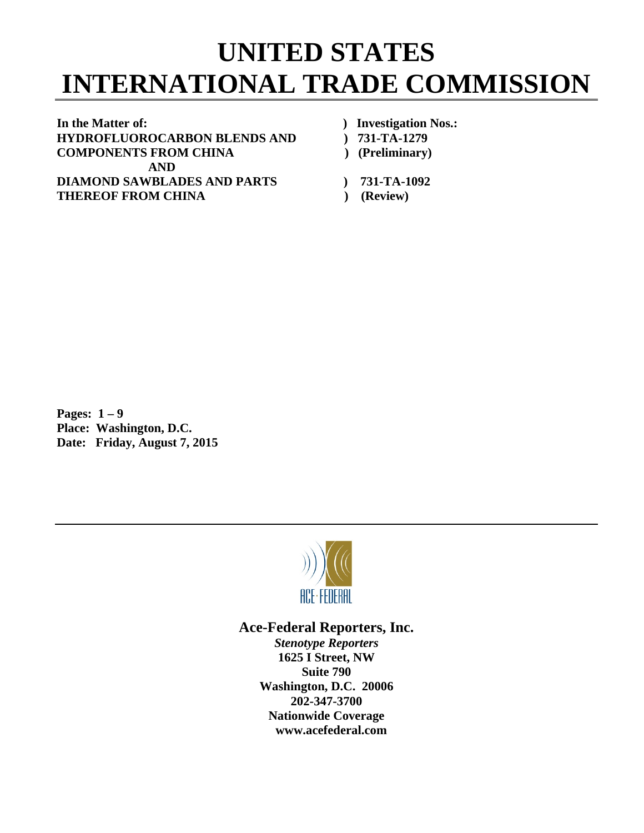## **UNITED STATES INTERNATIONAL TRADE COMMISSION**

In the Matter of: *In the Matter of: Physical Constraints Physical Constraints* **<b>***Physical Constraints Physical Constraints* **<b>***Physical Constraints Physical Constraints* **HYDROFLUOROCARBON BLENDS AND ) 731-TA-1279 COMPONENTS FROM CHINA ) (Preliminary) AND DIAMOND SAWBLADES AND PARTS ) 731-TA-1092 THEREOF FROM CHINA** (Review)

- 
- 
- 
- 
- 

**Pages: 1 – 9** **Place: Washington, D.C. Date: Friday, August 7, 2015** 



## **Ace-Federal Reporters, Inc.**

*Stenotype Reporters*  **1625 I Street, NW Suite 790 Washington, D.C. 20006 202-347-3700 Nationwide Coverage www.acefederal.com**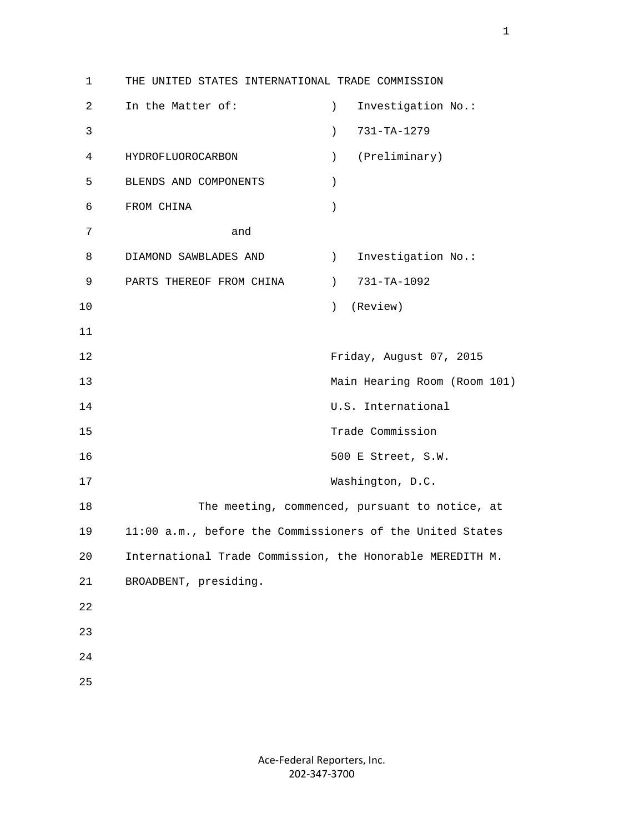1 THE UNITED STATES INTERNATIONAL TRADE COMMISSION 2 In the Matter of: ) Investigation No.: 3 ) 731-TA-1279 4 HYDROFLUOROCARBON ) (Preliminary) 5 BLENDS AND COMPONENTS ) 6 FROM CHINA ) 7 and 8 DIAMOND SAWBLADES AND (1) Investigation No.: 9 PARTS THEREOF FROM CHINA (2001) 731-TA-1092 10 ) (Review) 11 12 Friday, August 07, 2015 13 Main Hearing Room (Room 101) 14 U.S. International 15 Trade Commission 16 500 E Street, S.W. 17 Washington, D.C. 18 The meeting, commenced, pursuant to notice, at 19 11:00 a.m., before the Commissioners of the United States 20 International Trade Commission, the Honorable MEREDITH M. 21 BROADBENT, presiding. 22 23 24 25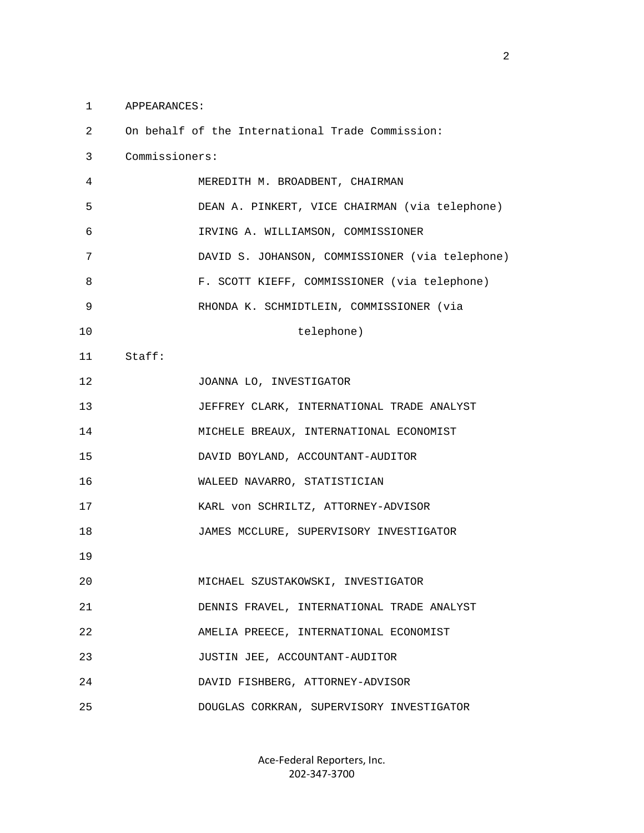1 APPEARANCES:

| 2  |                | On behalf of the International Trade Commission: |
|----|----------------|--------------------------------------------------|
| 3  | Commissioners: |                                                  |
| 4  |                | MEREDITH M. BROADBENT, CHAIRMAN                  |
| 5  |                | DEAN A. PINKERT, VICE CHAIRMAN (via telephone)   |
| 6  |                | IRVING A. WILLIAMSON, COMMISSIONER               |
| 7  |                | DAVID S. JOHANSON, COMMISSIONER (via telephone)  |
| 8  |                | F. SCOTT KIEFF, COMMISSIONER (via telephone)     |
| 9  |                | RHONDA K. SCHMIDTLEIN, COMMISSIONER (via         |
| 10 |                | telephone)                                       |
| 11 | Staff:         |                                                  |
| 12 |                | JOANNA LO, INVESTIGATOR                          |
| 13 |                | JEFFREY CLARK, INTERNATIONAL TRADE ANALYST       |
| 14 |                | MICHELE BREAUX, INTERNATIONAL ECONOMIST          |
| 15 |                | DAVID BOYLAND, ACCOUNTANT-AUDITOR                |
| 16 |                | WALEED NAVARRO, STATISTICIAN                     |
| 17 |                | KARL von SCHRILTZ, ATTORNEY-ADVISOR              |
| 18 |                | JAMES MCCLURE, SUPERVISORY INVESTIGATOR          |
| 19 |                |                                                  |
| 20 |                | MICHAEL SZUSTAKOWSKI, INVESTIGATOR               |
| 21 |                | DENNIS FRAVEL, INTERNATIONAL TRADE ANALYST       |
| 22 |                | AMELIA PREECE, INTERNATIONAL ECONOMIST           |
| 23 |                | JUSTIN JEE, ACCOUNTANT-AUDITOR                   |
| 24 |                | DAVID FISHBERG, ATTORNEY-ADVISOR                 |
| 25 |                | DOUGLAS CORKRAN, SUPERVISORY INVESTIGATOR        |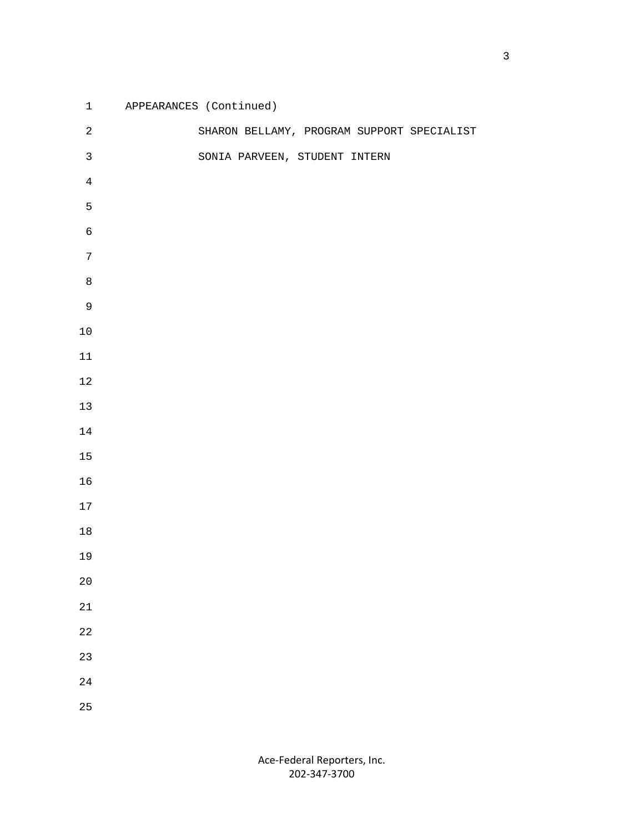| $\mathbf{1}$   | APPEARANCES (Continued)                    |
|----------------|--------------------------------------------|
| $\sqrt{2}$     | SHARON BELLAMY, PROGRAM SUPPORT SPECIALIST |
| $\mathsf{3}$   | SONIA PARVEEN, STUDENT INTERN              |
| $\overline{4}$ |                                            |
| 5              |                                            |
| $\sqrt{6}$     |                                            |
| $\overline{7}$ |                                            |
| $\,8\,$        |                                            |
| $\mathsf 9$    |                                            |
| $10$           |                                            |
| $11\,$         |                                            |
| $1\,2$         |                                            |
| $13$           |                                            |
| $14\,$         |                                            |
| $15\,$         |                                            |
| 16             |                                            |
| $17\,$         |                                            |
| $18\,$         |                                            |
| 19             |                                            |
| $2\,0$         |                                            |
| 21             |                                            |
| $2\sqrt{2}$    |                                            |
| 23             |                                            |
| $2\sqrt{4}$    |                                            |
| 25             |                                            |
|                |                                            |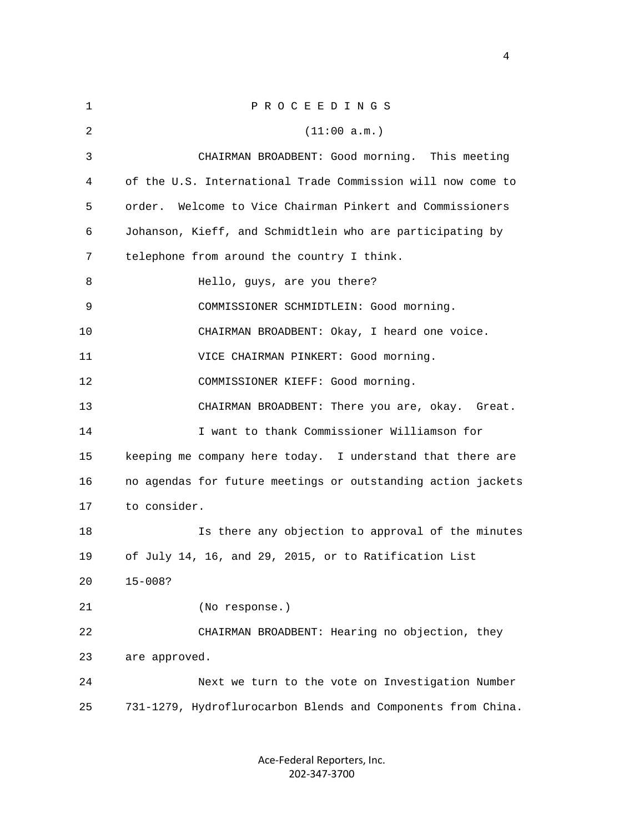| 1  | PROCEEDINGS                                                  |
|----|--------------------------------------------------------------|
| 2  | (11:00 a.m.)                                                 |
| 3  | CHAIRMAN BROADBENT: Good morning. This meeting               |
| 4  | of the U.S. International Trade Commission will now come to  |
| 5  | Welcome to Vice Chairman Pinkert and Commissioners<br>order. |
| 6  | Johanson, Kieff, and Schmidtlein who are participating by    |
| 7  | telephone from around the country I think.                   |
| 8  | Hello, guys, are you there?                                  |
| 9  | COMMISSIONER SCHMIDTLEIN: Good morning.                      |
| 10 | CHAIRMAN BROADBENT: Okay, I heard one voice.                 |
| 11 | VICE CHAIRMAN PINKERT: Good morning.                         |
| 12 | COMMISSIONER KIEFF: Good morning.                            |
| 13 | CHAIRMAN BROADBENT: There you are, okay. Great.              |
| 14 | I want to thank Commissioner Williamson for                  |
| 15 | keeping me company here today. I understand that there are   |
| 16 | no agendas for future meetings or outstanding action jackets |
| 17 | to consider.                                                 |
| 18 | Is there any objection to approval of the minutes            |
| 19 | of July 14, 16, and 29, 2015, or to Ratification List        |
| 20 | $15 - 008?$                                                  |
| 21 | (No response.)                                               |
| 22 | CHAIRMAN BROADBENT: Hearing no objection, they               |
| 23 | are approved.                                                |
| 24 | Next we turn to the vote on Investigation Number             |
| 25 | 731-1279, Hydroflurocarbon Blends and Components from China. |
|    |                                                              |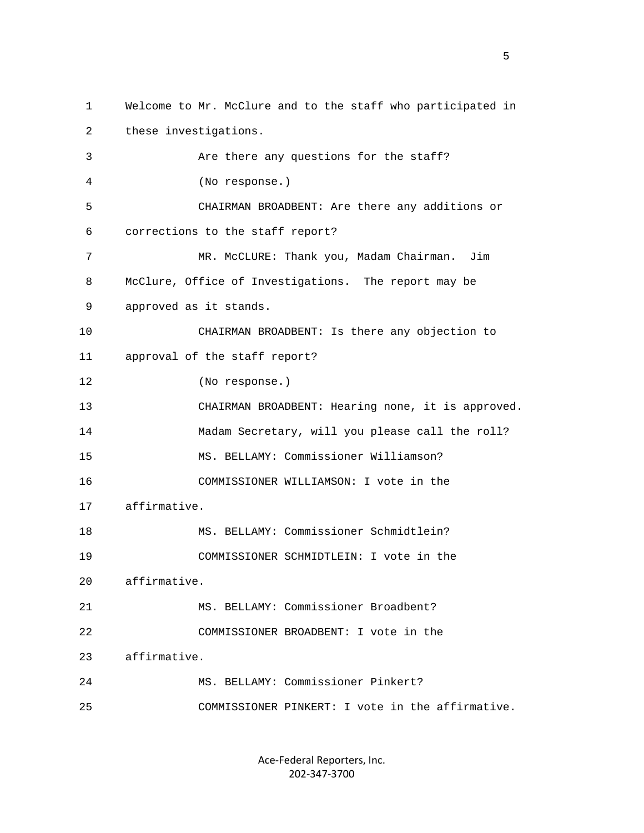1 Welcome to Mr. McClure and to the staff who participated in 2 these investigations. 3 Are there any questions for the staff? 4 (No response.) 5 CHAIRMAN BROADBENT: Are there any additions or 6 corrections to the staff report? 7 MR. McCLURE: Thank you, Madam Chairman. Jim 8 McClure, Office of Investigations. The report may be 9 approved as it stands. 10 CHAIRMAN BROADBENT: Is there any objection to 11 approval of the staff report? 12 (No response.) 13 CHAIRMAN BROADBENT: Hearing none, it is approved. 14 Madam Secretary, will you please call the roll? 15 MS. BELLAMY: Commissioner Williamson? 16 COMMISSIONER WILLIAMSON: I vote in the 17 affirmative. 18 MS. BELLAMY: Commissioner Schmidtlein? 19 COMMISSIONER SCHMIDTLEIN: I vote in the 20 affirmative. 21 MS. BELLAMY: Commissioner Broadbent? 22 COMMISSIONER BROADBENT: I vote in the 23 affirmative. 24 MS. BELLAMY: Commissioner Pinkert? 25 COMMISSIONER PINKERT: I vote in the affirmative.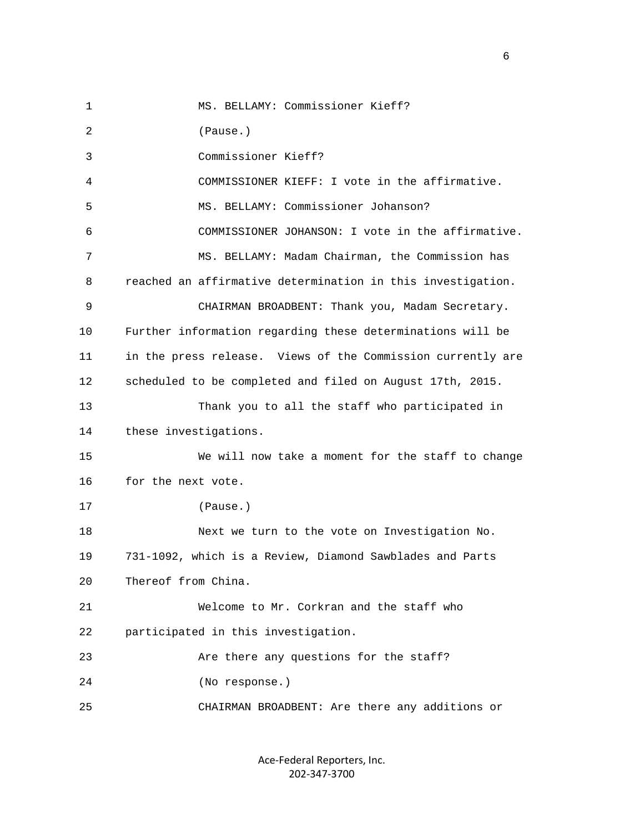1 MS. BELLAMY: Commissioner Kieff? 2 (Pause.) 3 Commissioner Kieff? 4 COMMISSIONER KIEFF: I vote in the affirmative. 5 MS. BELLAMY: Commissioner Johanson? 6 COMMISSIONER JOHANSON: I vote in the affirmative. 7 MS. BELLAMY: Madam Chairman, the Commission has 8 reached an affirmative determination in this investigation. 9 CHAIRMAN BROADBENT: Thank you, Madam Secretary. 10 Further information regarding these determinations will be 11 in the press release. Views of the Commission currently are 12 scheduled to be completed and filed on August 17th, 2015. 13 Thank you to all the staff who participated in 14 these investigations. 15 We will now take a moment for the staff to change 16 for the next vote. 17 (Pause.) 18 Next we turn to the vote on Investigation No. 19 731-1092, which is a Review, Diamond Sawblades and Parts 20 Thereof from China. 21 Welcome to Mr. Corkran and the staff who 22 participated in this investigation. 23 Are there any questions for the staff? 24 (No response.) 25 CHAIRMAN BROADBENT: Are there any additions or

> Ace‐Federal Reporters, Inc. 202‐347‐3700

 $\sim$  6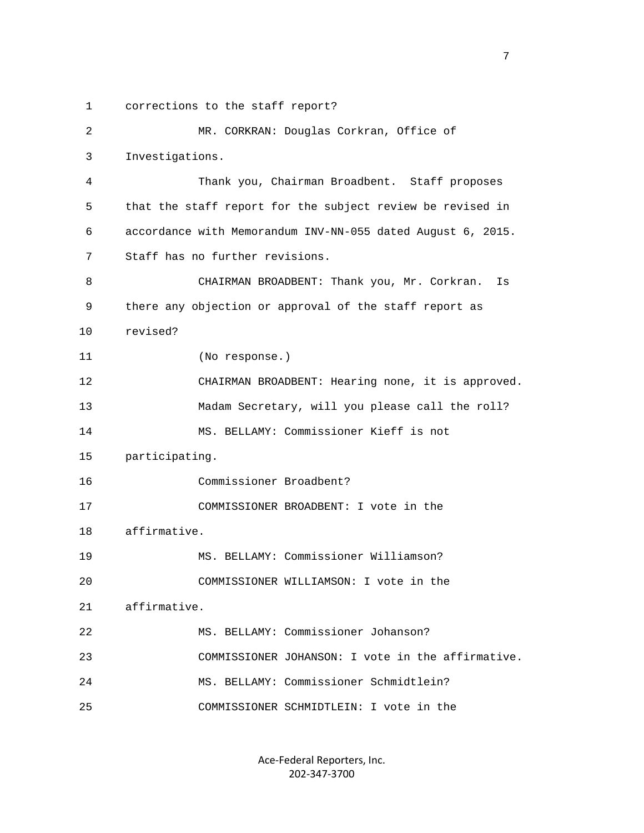1 corrections to the staff report?

 2 MR. CORKRAN: Douglas Corkran, Office of 3 Investigations. 4 Thank you, Chairman Broadbent. Staff proposes 5 that the staff report for the subject review be revised in 6 accordance with Memorandum INV-NN-055 dated August 6, 2015. 7 Staff has no further revisions. 8 CHAIRMAN BROADBENT: Thank you, Mr. Corkran. Is 9 there any objection or approval of the staff report as 10 revised? 11 (No response.) 12 CHAIRMAN BROADBENT: Hearing none, it is approved. 13 Madam Secretary, will you please call the roll? 14 MS. BELLAMY: Commissioner Kieff is not 15 participating. 16 Commissioner Broadbent? 17 COMMISSIONER BROADBENT: I vote in the 18 affirmative. 19 MS. BELLAMY: Commissioner Williamson? 20 COMMISSIONER WILLIAMSON: I vote in the 21 affirmative. 22 MS. BELLAMY: Commissioner Johanson? 23 COMMISSIONER JOHANSON: I vote in the affirmative. 24 MS. BELLAMY: Commissioner Schmidtlein? 25 COMMISSIONER SCHMIDTLEIN: I vote in the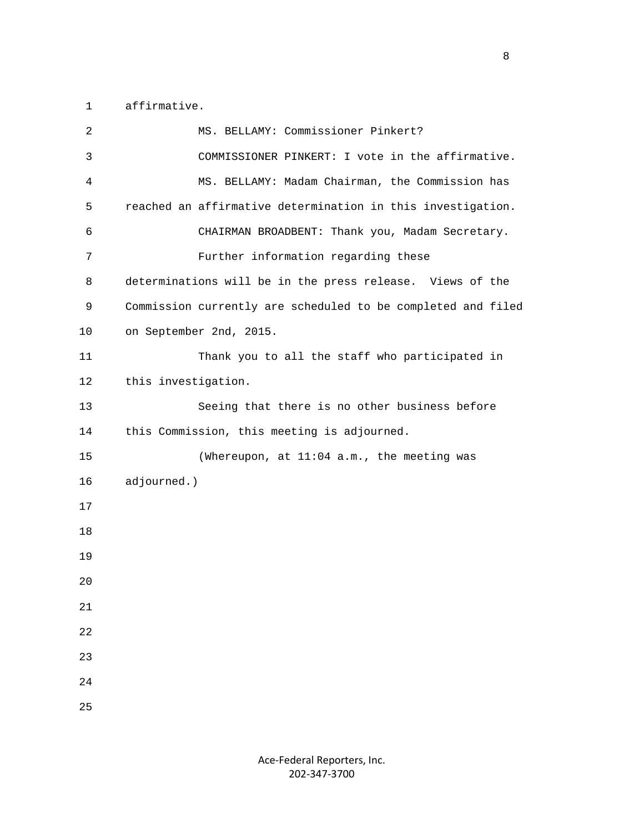1 affirmative.

| $\overline{2}$ | MS. BELLAMY: Commissioner Pinkert?                           |
|----------------|--------------------------------------------------------------|
| 3              | COMMISSIONER PINKERT: I vote in the affirmative.             |
| 4              | MS. BELLAMY: Madam Chairman, the Commission has              |
| 5              | reached an affirmative determination in this investigation.  |
| 6              | CHAIRMAN BROADBENT: Thank you, Madam Secretary.              |
| 7              | Further information regarding these                          |
| 8              | determinations will be in the press release. Views of the    |
| 9              | Commission currently are scheduled to be completed and filed |
| 10             | on September 2nd, 2015.                                      |
| 11             | Thank you to all the staff who participated in               |
| 12             | this investigation.                                          |
| 13             | Seeing that there is no other business before                |
| 14             | this Commission, this meeting is adjourned.                  |
| 15             | (Whereupon, at 11:04 a.m., the meeting was                   |
| 16             | adjourned.)                                                  |
| 17             |                                                              |
| 18             |                                                              |
| 19             |                                                              |
| 20             |                                                              |
| 21             |                                                              |
| 22             |                                                              |
| 23             |                                                              |
| 24             |                                                              |
| 25             |                                                              |